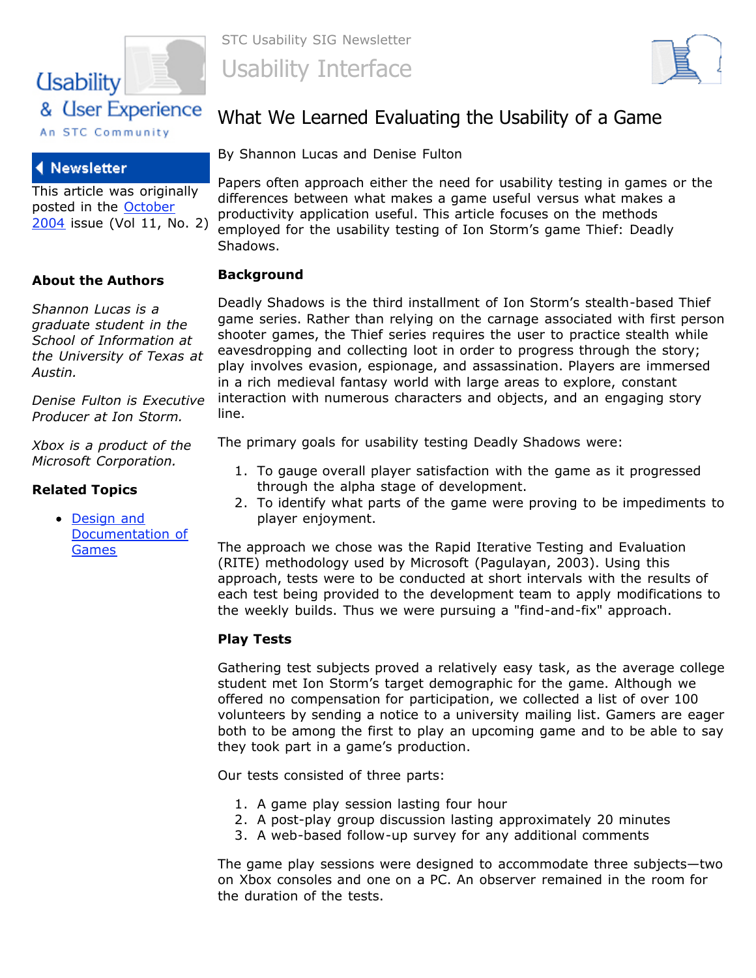

## **Newsletter**

This article was originally posted in the **October** [2004 issue \(Vol 11, N](http://www.stcsig.org/usability/newsletter/home-0410.html)o. 2)

### **About the Authors**

*Shannon Lucas is a graduate student in the School of Information at the University of Texas at Austin.* 

*Denise Fulton is Executive Producer at Ion Storm.*

*Xbox is a product of the Microsoft Corporation.*

### **Related Topics**

• Design and [Documentation of](file:///C:/Documents%20and%20Settings/whitneyq/My%20Documents/My%20Webs/USIG/topics/games.html) **Games** 

STC Usability SIG Newsletter Usability Interface



# What We Learned Evaluating the Usability of a Game

By Shannon Lucas and Denise Fulton

Papers often approach either the need for usability testing in games or the differences between what makes a game useful versus what makes a productivity application useful. This article focuses on the methods employed for the usability testing of Ion Storm's game Thief: Deadly Shadows.

## **Background**

Deadly Shadows is the third installment of Ion Storm's stealth-based Thief game series. Rather than relying on the carnage associated with first person shooter games, the Thief series requires the user to practice stealth while eavesdropping and collecting loot in order to progress through the story; play involves evasion, espionage, and assassination. Players are immersed in a rich medieval fantasy world with large areas to explore, constant interaction with numerous characters and objects, and an engaging story line.

The primary goals for usability testing Deadly Shadows were:

- 1. To gauge overall player satisfaction with the game as it progressed through the alpha stage of development.
- 2. To identify what parts of the game were proving to be impediments to player enjoyment.

The approach we chose was the Rapid Iterative Testing and Evaluation (RITE) methodology used by Microsoft (Pagulayan, 2003). Using this approach, tests were to be conducted at short intervals with the results of each test being provided to the development team to apply modifications to the weekly builds. Thus we were pursuing a "find-and-fix" approach.

### **Play Tests**

Gathering test subjects proved a relatively easy task, as the average college student met Ion Storm's target demographic for the game. Although we offered no compensation for participation, we collected a list of over 100 volunteers by sending a notice to a university mailing list. Gamers are eager both to be among the first to play an upcoming game and to be able to say they took part in a game's production.

Our tests consisted of three parts:

- 1. A game play session lasting four hour
- 2. A post-play group discussion lasting approximately 20 minutes
- 3. A web-based follow-up survey for any additional comments

The game play sessions were designed to accommodate three subjects—two on Xbox consoles and one on a PC. An observer remained in the room for the duration of the tests.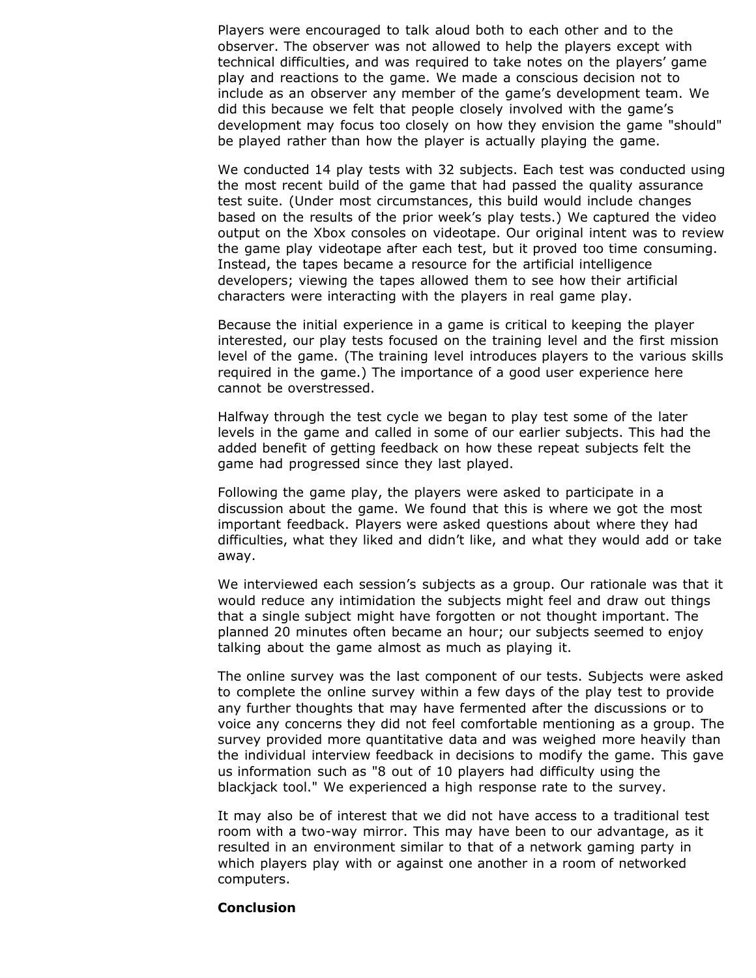Players were encouraged to talk aloud both to each other and to the observer. The observer was not allowed to help the players except with technical difficulties, and was required to take notes on the players' game play and reactions to the game. We made a conscious decision not to include as an observer any member of the game's development team. We did this because we felt that people closely involved with the game's development may focus too closely on how they envision the game "should" be played rather than how the player is actually playing the game.

We conducted 14 play tests with 32 subjects. Each test was conducted using the most recent build of the game that had passed the quality assurance test suite. (Under most circumstances, this build would include changes based on the results of the prior week's play tests.) We captured the video output on the Xbox consoles on videotape. Our original intent was to review the game play videotape after each test, but it proved too time consuming. Instead, the tapes became a resource for the artificial intelligence developers; viewing the tapes allowed them to see how their artificial characters were interacting with the players in real game play.

Because the initial experience in a game is critical to keeping the player interested, our play tests focused on the training level and the first mission level of the game. (The training level introduces players to the various skills required in the game.) The importance of a good user experience here cannot be overstressed.

Halfway through the test cycle we began to play test some of the later levels in the game and called in some of our earlier subjects. This had the added benefit of getting feedback on how these repeat subjects felt the game had progressed since they last played.

Following the game play, the players were asked to participate in a discussion about the game. We found that this is where we got the most important feedback. Players were asked questions about where they had difficulties, what they liked and didn't like, and what they would add or take away.

We interviewed each session's subjects as a group. Our rationale was that it would reduce any intimidation the subjects might feel and draw out things that a single subject might have forgotten or not thought important. The planned 20 minutes often became an hour; our subjects seemed to enjoy talking about the game almost as much as playing it.

The online survey was the last component of our tests. Subjects were asked to complete the online survey within a few days of the play test to provide any further thoughts that may have fermented after the discussions or to voice any concerns they did not feel comfortable mentioning as a group. The survey provided more quantitative data and was weighed more heavily than the individual interview feedback in decisions to modify the game. This gave us information such as "8 out of 10 players had difficulty using the blackjack tool." We experienced a high response rate to the survey.

It may also be of interest that we did not have access to a traditional test room with a two-way mirror. This may have been to our advantage, as it resulted in an environment similar to that of a network gaming party in which players play with or against one another in a room of networked computers.

#### **Conclusion**